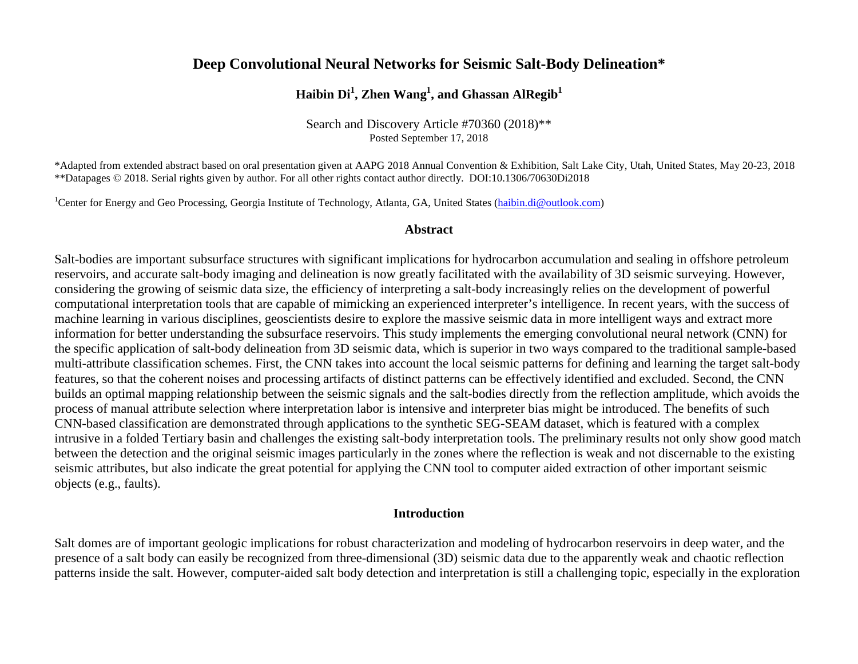# **Deep Convolutional Neural Networks for Seismic Salt-Body Delineation\***

# $\mathbf{H}$ aibin  $\mathbf{Di}^{1},$  Zhen  $\mathbf{Wang}^{1},$  and Ghassan Al $\mathbf{Regib}^{1}$

Search and Discovery Article #70360 (2018)\*\* Posted September 17, 2018

\*Adapted from extended abstract based on oral presentation given at AAPG 2018 Annual Convention & Exhibition, Salt Lake City, Utah, United States, May 20-23, 2018 \*\*Datapages © 2018. Serial rights given by author. For all other rights contact author directly. DOI:10.1306/70630Di2018

<sup>1</sup>Center for Energy and Geo Processing, Georgia Institute of Technology, Atlanta, GA, United States [\(haibin.di@outlook.com\)](mailto:haibin.di@outlook.com)

#### **Abstract**

Salt-bodies are important subsurface structures with significant implications for hydrocarbon accumulation and sealing in offshore petroleum reservoirs, and accurate salt-body imaging and delineation is now greatly facilitated with the availability of 3D seismic surveying. However, considering the growing of seismic data size, the efficiency of interpreting a salt-body increasingly relies on the development of powerful computational interpretation tools that are capable of mimicking an experienced interpreter's intelligence. In recent years, with the success of machine learning in various disciplines, geoscientists desire to explore the massive seismic data in more intelligent ways and extract more information for better understanding the subsurface reservoirs. This study implements the emerging convolutional neural network (CNN) for the specific application of salt-body delineation from 3D seismic data, which is superior in two ways compared to the traditional sample-based multi-attribute classification schemes. First, the CNN takes into account the local seismic patterns for defining and learning the target salt-body features, so that the coherent noises and processing artifacts of distinct patterns can be effectively identified and excluded. Second, the CNN builds an optimal mapping relationship between the seismic signals and the salt-bodies directly from the reflection amplitude, which avoids the process of manual attribute selection where interpretation labor is intensive and interpreter bias might be introduced. The benefits of such CNN-based classification are demonstrated through applications to the synthetic SEG-SEAM dataset, which is featured with a complex intrusive in a folded Tertiary basin and challenges the existing salt-body interpretation tools. The preliminary results not only show good match between the detection and the original seismic images particularly in the zones where the reflection is weak and not discernable to the existing seismic attributes, but also indicate the great potential for applying the CNN tool to computer aided extraction of other important seismic objects (e.g., faults).

#### **Introduction**

Salt domes are of important geologic implications for robust characterization and modeling of hydrocarbon reservoirs in deep water, and the presence of a salt body can easily be recognized from three-dimensional (3D) seismic data due to the apparently weak and chaotic reflection patterns inside the salt. However, computer-aided salt body detection and interpretation is still a challenging topic, especially in the exploration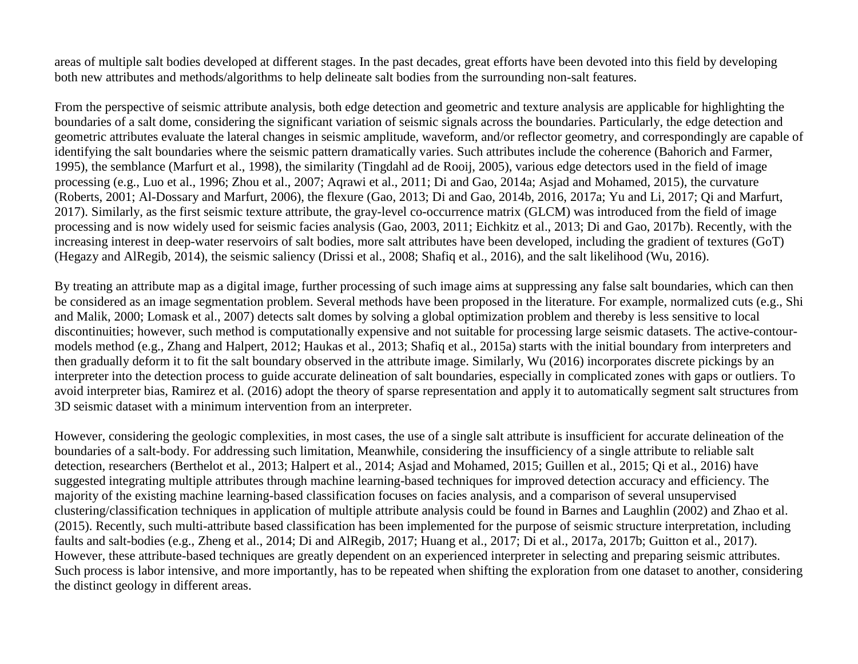areas of multiple salt bodies developed at different stages. In the past decades, great efforts have been devoted into this field by developing both new attributes and methods/algorithms to help delineate salt bodies from the surrounding non-salt features.

From the perspective of seismic attribute analysis, both edge detection and geometric and texture analysis are applicable for highlighting the boundaries of a salt dome, considering the significant variation of seismic signals across the boundaries. Particularly, the edge detection and geometric attributes evaluate the lateral changes in seismic amplitude, waveform, and/or reflector geometry, and correspondingly are capable of identifying the salt boundaries where the seismic pattern dramatically varies. Such attributes include the coherence (Bahorich and Farmer, 1995), the semblance (Marfurt et al., 1998), the similarity (Tingdahl ad de Rooij, 2005), various edge detectors used in the field of image processing (e.g., Luo et al., 1996; Zhou et al., 2007; Aqrawi et al., 2011; Di and Gao, 2014a; Asjad and Mohamed, 2015), the curvature (Roberts, 2001; Al-Dossary and Marfurt, 2006), the flexure (Gao, 2013; Di and Gao, 2014b, 2016, 2017a; Yu and Li, 2017; Qi and Marfurt, 2017). Similarly, as the first seismic texture attribute, the gray-level co-occurrence matrix (GLCM) was introduced from the field of image processing and is now widely used for seismic facies analysis (Gao, 2003, 2011; Eichkitz et al., 2013; Di and Gao, 2017b). Recently, with the increasing interest in deep-water reservoirs of salt bodies, more salt attributes have been developed, including the gradient of textures (GoT) (Hegazy and AlRegib, 2014), the seismic saliency (Drissi et al., 2008; Shafiq et al., 2016), and the salt likelihood (Wu, 2016).

By treating an attribute map as a digital image, further processing of such image aims at suppressing any false salt boundaries, which can then be considered as an image segmentation problem. Several methods have been proposed in the literature. For example, normalized cuts (e.g., Shi and Malik, 2000; Lomask et al., 2007) detects salt domes by solving a global optimization problem and thereby is less sensitive to local discontinuities; however, such method is computationally expensive and not suitable for processing large seismic datasets. The active-contourmodels method (e.g., Zhang and Halpert, 2012; Haukas et al., 2013; Shafiq et al., 2015a) starts with the initial boundary from interpreters and then gradually deform it to fit the salt boundary observed in the attribute image. Similarly, Wu (2016) incorporates discrete pickings by an interpreter into the detection process to guide accurate delineation of salt boundaries, especially in complicated zones with gaps or outliers. To avoid interpreter bias, Ramirez et al. (2016) adopt the theory of sparse representation and apply it to automatically segment salt structures from 3D seismic dataset with a minimum intervention from an interpreter.

However, considering the geologic complexities, in most cases, the use of a single salt attribute is insufficient for accurate delineation of the boundaries of a salt-body. For addressing such limitation, Meanwhile, considering the insufficiency of a single attribute to reliable salt detection, researchers (Berthelot et al., 2013; Halpert et al., 2014; Asjad and Mohamed, 2015; Guillen et al., 2015; Qi et al., 2016) have suggested integrating multiple attributes through machine learning-based techniques for improved detection accuracy and efficiency. The majority of the existing machine learning-based classification focuses on facies analysis, and a comparison of several unsupervised clustering/classification techniques in application of multiple attribute analysis could be found in Barnes and Laughlin (2002) and Zhao et al. (2015). Recently, such multi-attribute based classification has been implemented for the purpose of seismic structure interpretation, including faults and salt-bodies (e.g., Zheng et al., 2014; Di and AlRegib, 2017; Huang et al., 2017; Di et al., 2017a, 2017b; Guitton et al., 2017). However, these attribute-based techniques are greatly dependent on an experienced interpreter in selecting and preparing seismic attributes. Such process is labor intensive, and more importantly, has to be repeated when shifting the exploration from one dataset to another, considering the distinct geology in different areas.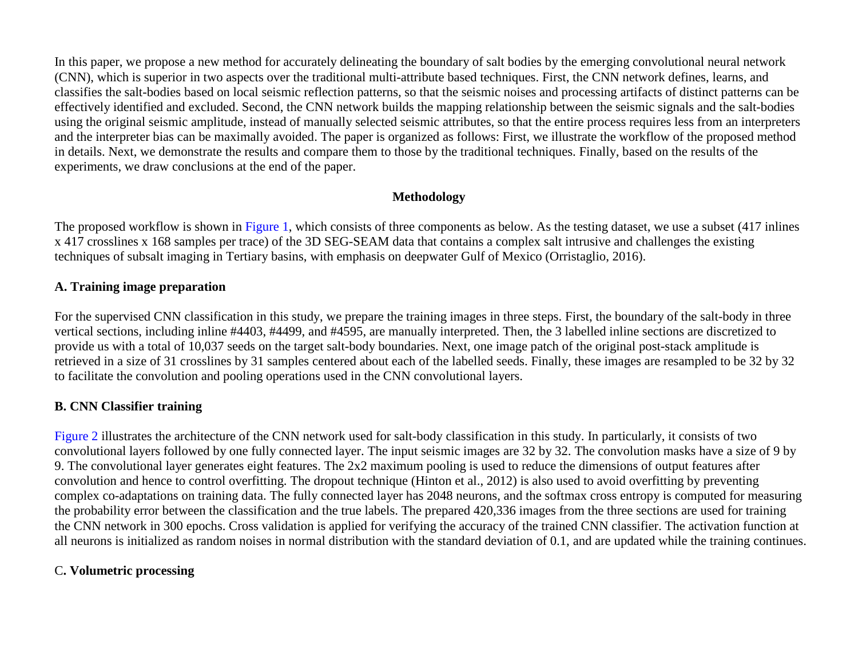In this paper, we propose a new method for accurately delineating the boundary of salt bodies by the emerging convolutional neural network (CNN), which is superior in two aspects over the traditional multi-attribute based techniques. First, the CNN network defines, learns, and classifies the salt-bodies based on local seismic reflection patterns, so that the seismic noises and processing artifacts of distinct patterns can be effectively identified and excluded. Second, the CNN network builds the mapping relationship between the seismic signals and the salt-bodies using the original seismic amplitude, instead of manually selected seismic attributes, so that the entire process requires less from an interpreters and the interpreter bias can be maximally avoided. The paper is organized as follows: First, we illustrate the workflow of the proposed method in details. Next, we demonstrate the results and compare them to those by the traditional techniques. Finally, based on the results of the experiments, we draw conclusions at the end of the paper.

## **Methodology**

The proposed workflow is shown in [Figure 1,](#page-8-0) which consists of three components as below. As the testing dataset, we use a subset (417 inlines x 417 crosslines x 168 samples per trace) of the 3D SEG-SEAM data that contains a complex salt intrusive and challenges the existing techniques of subsalt imaging in Tertiary basins, with emphasis on deepwater Gulf of Mexico (Orristaglio, 2016).

## **A. Training image preparation**

For the supervised CNN classification in this study, we prepare the training images in three steps. First, the boundary of the salt-body in three vertical sections, including inline #4403, #4499, and #4595, are manually interpreted. Then, the 3 labelled inline sections are discretized to provide us with a total of 10,037 seeds on the target salt-body boundaries. Next, one image patch of the original post-stack amplitude is retrieved in a size of 31 crosslines by 31 samples centered about each of the labelled seeds. Finally, these images are resampled to be 32 by 32 to facilitate the convolution and pooling operations used in the CNN convolutional layers.

## **B. CNN Classifier training**

[Figure 2](#page-9-0) illustrates the architecture of the CNN network used for salt-body classification in this study. In particularly, it consists of two convolutional layers followed by one fully connected layer. The input seismic images are 32 by 32. The convolution masks have a size of 9 by 9. The convolutional layer generates eight features. The 2x2 maximum pooling is used to reduce the dimensions of output features after convolution and hence to control overfitting. The dropout technique (Hinton et al., 2012) is also used to avoid overfitting by preventing complex co-adaptations on training data. The fully connected layer has 2048 neurons, and the softmax cross entropy is computed for measuring the probability error between the classification and the true labels. The prepared 420,336 images from the three sections are used for training the CNN network in 300 epochs. Cross validation is applied for verifying the accuracy of the trained CNN classifier. The activation function at all neurons is initialized as random noises in normal distribution with the standard deviation of 0.1, and are updated while the training continues.

## C**. Volumetric processing**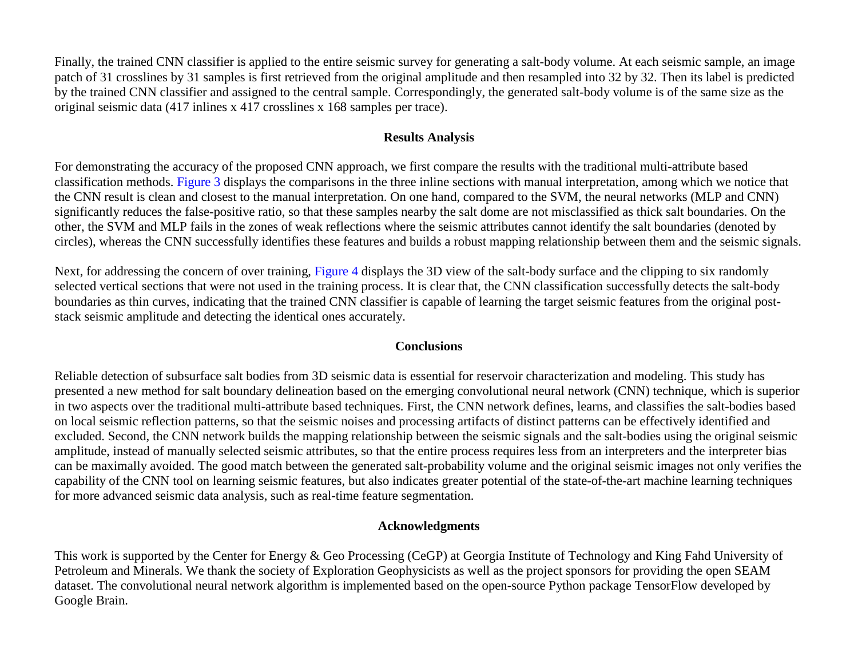Finally, the trained CNN classifier is applied to the entire seismic survey for generating a salt-body volume. At each seismic sample, an image patch of 31 crosslines by 31 samples is first retrieved from the original amplitude and then resampled into 32 by 32. Then its label is predicted by the trained CNN classifier and assigned to the central sample. Correspondingly, the generated salt-body volume is of the same size as the original seismic data (417 inlines x 417 crosslines x 168 samples per trace).

### **Results Analysis**

For demonstrating the accuracy of the proposed CNN approach, we first compare the results with the traditional multi-attribute based classification methods. [Figure 3](#page-10-0) displays the comparisons in the three inline sections with manual interpretation, among which we notice that the CNN result is clean and closest to the manual interpretation. On one hand, compared to the SVM, the neural networks (MLP and CNN) significantly reduces the false-positive ratio, so that these samples nearby the salt dome are not misclassified as thick salt boundaries. On the other, the SVM and MLP fails in the zones of weak reflections where the seismic attributes cannot identify the salt boundaries (denoted by circles), whereas the CNN successfully identifies these features and builds a robust mapping relationship between them and the seismic signals.

Next, for addressing the concern of over training, [Figure 4](#page-11-0) displays the 3D view of the salt-body surface and the clipping to six randomly selected vertical sections that were not used in the training process. It is clear that, the CNN classification successfully detects the salt-body boundaries as thin curves, indicating that the trained CNN classifier is capable of learning the target seismic features from the original poststack seismic amplitude and detecting the identical ones accurately.

### **Conclusions**

Reliable detection of subsurface salt bodies from 3D seismic data is essential for reservoir characterization and modeling. This study has presented a new method for salt boundary delineation based on the emerging convolutional neural network (CNN) technique, which is superior in two aspects over the traditional multi-attribute based techniques. First, the CNN network defines, learns, and classifies the salt-bodies based on local seismic reflection patterns, so that the seismic noises and processing artifacts of distinct patterns can be effectively identified and excluded. Second, the CNN network builds the mapping relationship between the seismic signals and the salt-bodies using the original seismic amplitude, instead of manually selected seismic attributes, so that the entire process requires less from an interpreters and the interpreter bias can be maximally avoided. The good match between the generated salt-probability volume and the original seismic images not only verifies the capability of the CNN tool on learning seismic features, but also indicates greater potential of the state-of-the-art machine learning techniques for more advanced seismic data analysis, such as real-time feature segmentation.

## **Acknowledgments**

This work is supported by the Center for Energy & Geo Processing (CeGP) at Georgia Institute of Technology and King Fahd University of Petroleum and Minerals. We thank the society of Exploration Geophysicists as well as the project sponsors for providing the open SEAM dataset. The convolutional neural network algorithm is implemented based on the open-source Python package TensorFlow developed by Google Brain.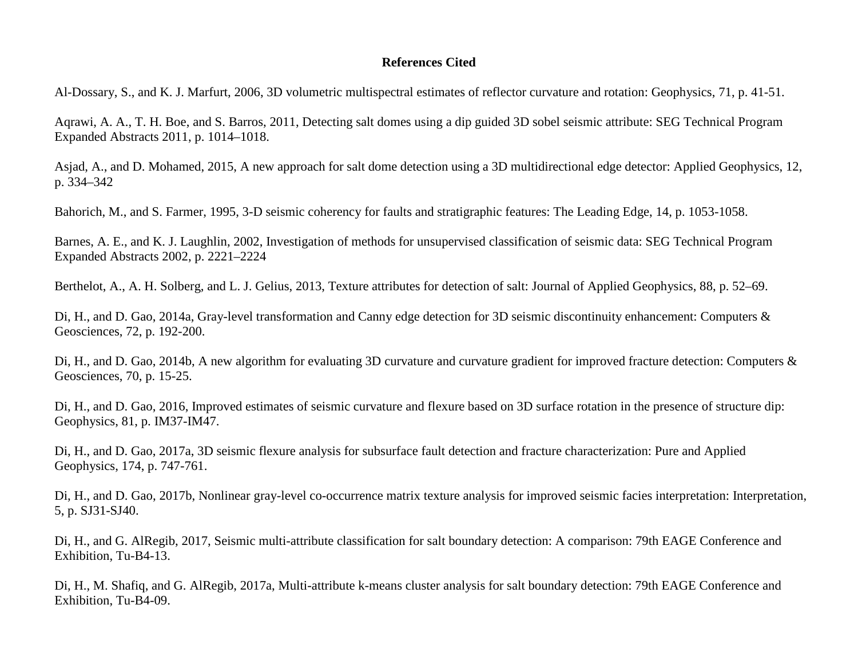#### **References Cited**

Al-Dossary, S., and K. J. Marfurt, 2006, 3D volumetric multispectral estimates of reflector curvature and rotation: Geophysics, 71, p. 41-51.

Aqrawi, A. A., T. H. Boe, and S. Barros, 2011, Detecting salt domes using a dip guided 3D sobel seismic attribute: SEG Technical Program Expanded Abstracts 2011, p. 1014–1018.

Asjad, A., and D. Mohamed, 2015, A new approach for salt dome detection using a 3D multidirectional edge detector: Applied Geophysics, 12, p. 334–342

Bahorich, M., and S. Farmer, 1995, 3-D seismic coherency for faults and stratigraphic features: The Leading Edge, 14, p. 1053-1058.

Barnes, A. E., and K. J. Laughlin, 2002, Investigation of methods for unsupervised classification of seismic data: SEG Technical Program Expanded Abstracts 2002, p. 2221–2224

Berthelot, A., A. H. Solberg, and L. J. Gelius, 2013, Texture attributes for detection of salt: Journal of Applied Geophysics, 88, p. 52–69.

Di, H., and D. Gao, 2014a, Gray-level transformation and Canny edge detection for 3D seismic discontinuity enhancement: Computers & Geosciences, 72, p. 192-200.

Di, H., and D. Gao, 2014b, A new algorithm for evaluating 3D curvature and curvature gradient for improved fracture detection: Computers & Geosciences, 70, p. 15-25.

Di, H., and D. Gao, 2016, Improved estimates of seismic curvature and flexure based on 3D surface rotation in the presence of structure dip: Geophysics, 81, p. IM37-IM47.

Di, H., and D. Gao, 2017a, 3D seismic flexure analysis for subsurface fault detection and fracture characterization: Pure and Applied Geophysics, 174, p. 747-761.

Di, H., and D. Gao, 2017b, Nonlinear gray-level co-occurrence matrix texture analysis for improved seismic facies interpretation: Interpretation, 5, p. SJ31-SJ40.

Di, H., and G. AlRegib, 2017, Seismic multi-attribute classification for salt boundary detection: A comparison: 79th EAGE Conference and Exhibition, Tu-B4-13.

Di, H., M. Shafiq, and G. AlRegib, 2017a, Multi-attribute k-means cluster analysis for salt boundary detection: 79th EAGE Conference and Exhibition, Tu-B4-09.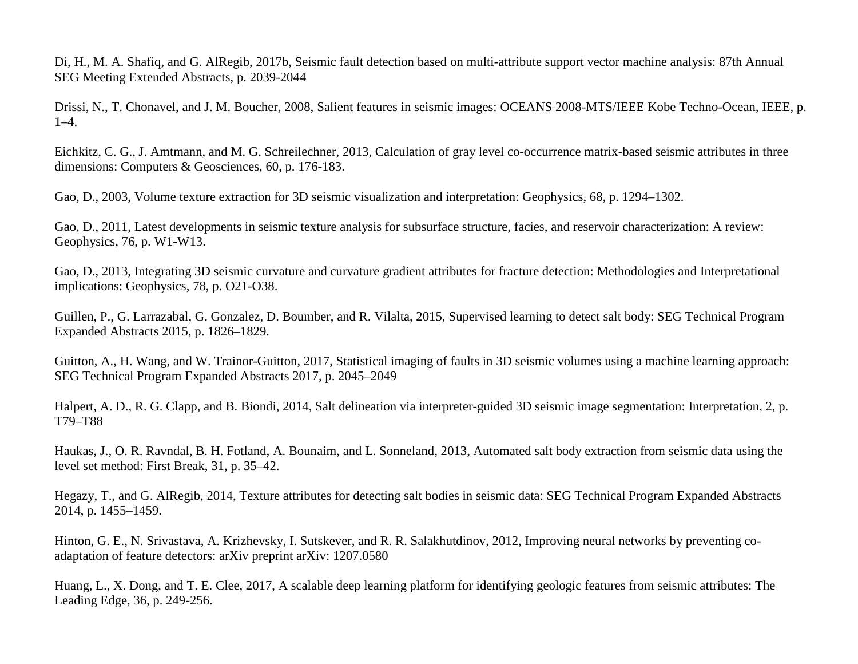Di, H., M. A. Shafiq, and G. AlRegib, 2017b, Seismic fault detection based on multi-attribute support vector machine analysis: 87th Annual SEG Meeting Extended Abstracts, p. 2039-2044

Drissi, N., T. Chonavel, and J. M. Boucher, 2008, Salient features in seismic images: OCEANS 2008-MTS/IEEE Kobe Techno-Ocean, IEEE, p. 1–4.

Eichkitz, C. G., J. Amtmann, and M. G. Schreilechner, 2013, Calculation of gray level co-occurrence matrix-based seismic attributes in three dimensions: Computers & Geosciences, 60, p. 176-183.

Gao, D., 2003, Volume texture extraction for 3D seismic visualization and interpretation: Geophysics, 68, p. 1294–1302.

Gao, D., 2011, Latest developments in seismic texture analysis for subsurface structure, facies, and reservoir characterization: A review: Geophysics, 76, p. W1-W13.

Gao, D., 2013, Integrating 3D seismic curvature and curvature gradient attributes for fracture detection: Methodologies and Interpretational implications: Geophysics, 78, p. O21-O38.

Guillen, P., G. Larrazabal, G. Gonzalez, D. Boumber, and R. Vilalta, 2015, Supervised learning to detect salt body: SEG Technical Program Expanded Abstracts 2015, p. 1826–1829.

Guitton, A., H. Wang, and W. Trainor-Guitton, 2017, Statistical imaging of faults in 3D seismic volumes using a machine learning approach: SEG Technical Program Expanded Abstracts 2017, p. 2045–2049

Halpert, A. D., R. G. Clapp, and B. Biondi, 2014, Salt delineation via interpreter-guided 3D seismic image segmentation: Interpretation, 2, p. T79–T88

Haukas, J., O. R. Ravndal, B. H. Fotland, A. Bounaim, and L. Sonneland, 2013, Automated salt body extraction from seismic data using the level set method: First Break, 31, p. 35–42.

Hegazy, T., and G. AlRegib, 2014, Texture attributes for detecting salt bodies in seismic data: SEG Technical Program Expanded Abstracts 2014, p. 1455–1459.

Hinton, G. E., N. Srivastava, A. Krizhevsky, I. Sutskever, and R. R. Salakhutdinov, 2012, Improving neural networks by preventing coadaptation of feature detectors: arXiv preprint arXiv: 1207.0580

Huang, L., X. Dong, and T. E. Clee, 2017, A scalable deep learning platform for identifying geologic features from seismic attributes: The Leading Edge, 36, p. 249-256.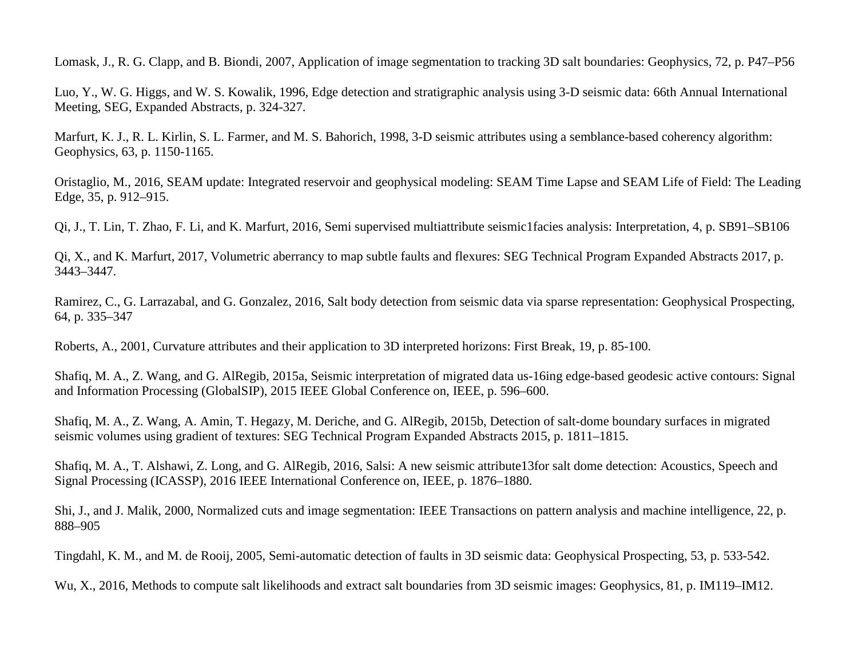Lomask, J., R. G. Clapp, and B. Biondi, 2007, Application of image segmentation to tracking 3D salt boundaries: Geophysics, 72, p. P47–P56

Luo, Y., W. G. Higgs, and W. S. Kowalik, 1996, Edge detection and stratigraphic analysis using 3-D seismic data: 66th Annual International Meeting, SEG, Expanded Abstracts, p. 324-327.

Marfurt, K. J., R. L. Kirlin, S. L. Farmer, and M. S. Bahorich, 1998, 3-D seismic attributes using a semblance-based coherency algorithm: Geophysics, 63, p. 1150-1165.

Oristaglio, M., 2016, SEAM update: Integrated reservoir and geophysical modeling: SEAM Time Lapse and SEAM Life of Field: The Leading Edge, 35, p. 912–915.

Qi, J., T. Lin, T. Zhao, F. Li, and K. Marfurt, 2016, Semi supervised multiattribute seismic1facies analysis: Interpretation, 4, p. SB91–SB106

Qi, X., and K. Marfurt, 2017, Volumetric aberrancy to map subtle faults and flexures: SEG Technical Program Expanded Abstracts 2017, p. 3443–3447.

Ramirez, C., G. Larrazabal, and G. Gonzalez, 2016, Salt body detection from seismic data via sparse representation: Geophysical Prospecting, 64, p. 335–347

Roberts, A., 2001, Curvature attributes and their application to 3D interpreted horizons: First Break, 19, p. 85-100.

Shafiq, M. A., Z. Wang, and G. AlRegib, 2015a, Seismic interpretation of migrated data us-16ing edge-based geodesic active contours: Signal and Information Processing (GlobalSIP), 2015 IEEE Global Conference on, IEEE, p. 596–600.

Shafiq, M. A., Z. Wang, A. Amin, T. Hegazy, M. Deriche, and G. AlRegib, 2015b, Detection of salt-dome boundary surfaces in migrated seismic volumes using gradient of textures: SEG Technical Program Expanded Abstracts 2015, p. 1811–1815.

Shafiq, M. A., T. Alshawi, Z. Long, and G. AlRegib, 2016, Salsi: A new seismic attribute13for salt dome detection: Acoustics, Speech and Signal Processing (ICASSP), 2016 IEEE International Conference on, IEEE, p. 1876–1880.

Shi, J., and J. Malik, 2000, Normalized cuts and image segmentation: IEEE Transactions on pattern analysis and machine intelligence, 22, p. 888–905

Tingdahl, K. M., and M. de Rooij, 2005, Semi-automatic detection of faults in 3D seismic data: Geophysical Prospecting, 53, p. 533-542.

Wu, X., 2016, Methods to compute salt likelihoods and extract salt boundaries from 3D seismic images: Geophysics, 81, p. IM119–IM12.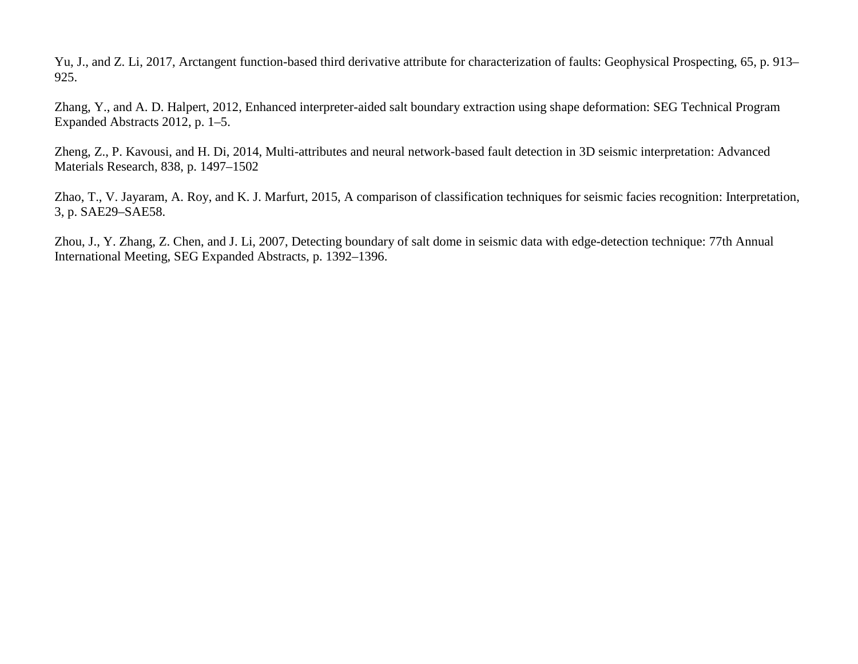Yu, J., and Z. Li, 2017, Arctangent function-based third derivative attribute for characterization of faults: Geophysical Prospecting, 65, p. 913– 925.

Zhang, Y., and A. D. Halpert, 2012, Enhanced interpreter-aided salt boundary extraction using shape deformation: SEG Technical Program Expanded Abstracts 2012, p. 1–5.

Zheng, Z., P. Kavousi, and H. Di, 2014, Multi-attributes and neural network-based fault detection in 3D seismic interpretation: Advanced Materials Research, 838, p. 1497–1502

Zhao, T., V. Jayaram, A. Roy, and K. J. Marfurt, 2015, A comparison of classification techniques for seismic facies recognition: Interpretation, 3, p. SAE29–SAE58.

Zhou, J., Y. Zhang, Z. Chen, and J. Li, 2007, Detecting boundary of salt dome in seismic data with edge-detection technique: 77th Annual International Meeting, SEG Expanded Abstracts, p. 1392–1396.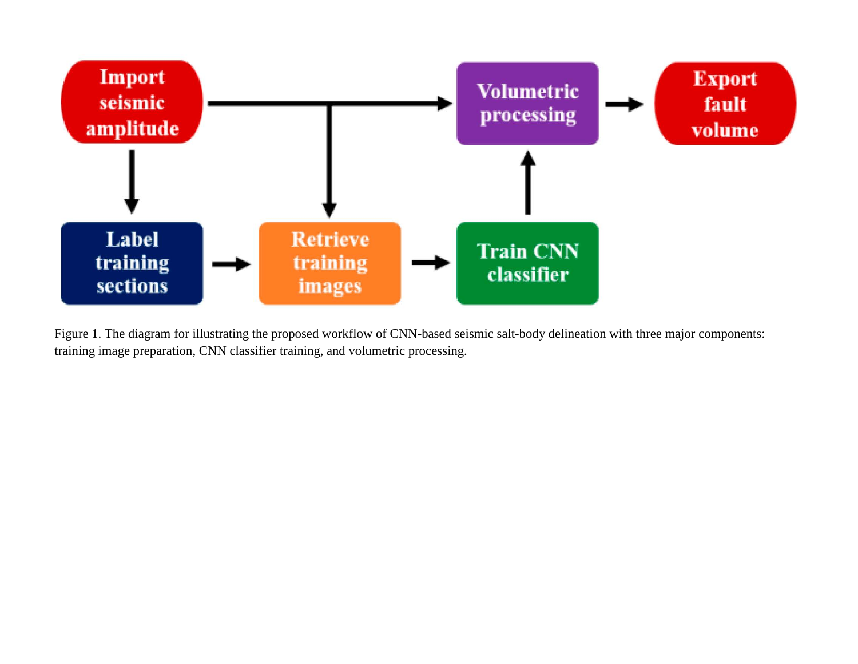<span id="page-8-0"></span>

Figure 1. The diagram for illustrating the proposed workflow of CNN-based seismic salt-body delineation with three major components: training image preparation, CNN classifier training, and volumetric processing.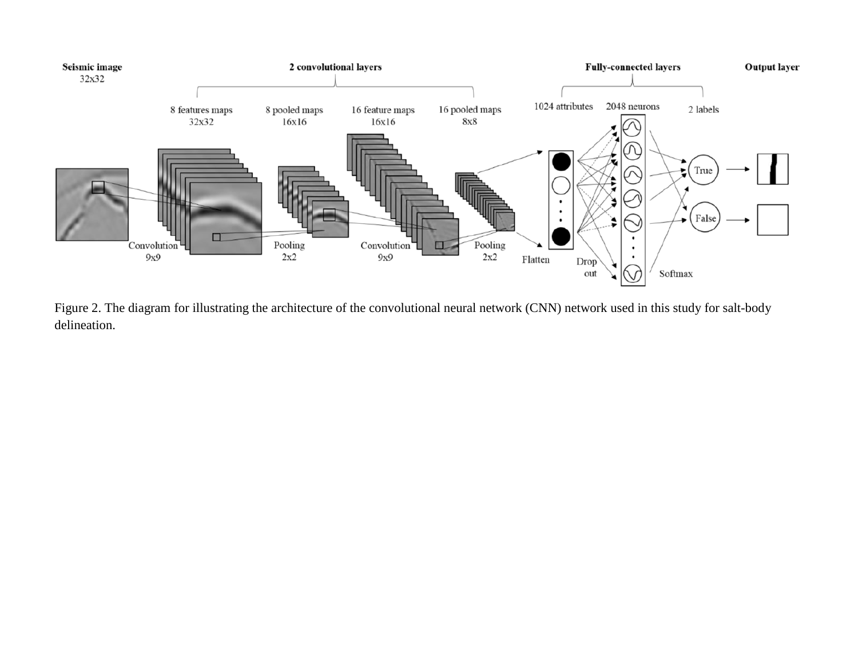<span id="page-9-0"></span>

Figure 2. The diagram for illustrating the architecture of the convolutional neural network (CNN) network used in this study for salt-body delineation.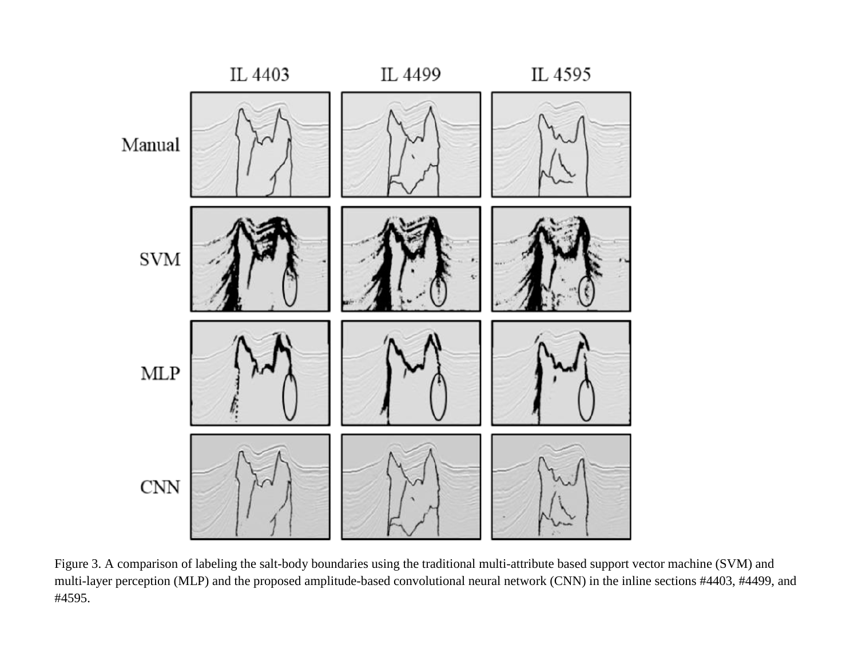<span id="page-10-0"></span>

Figure 3. A comparison of labeling the salt-body boundaries using the traditional multi-attribute based support vector machine (SVM) and multi-layer perception (MLP) and the proposed amplitude-based convolutional neural network (CNN) in the inline sections #4403, #4499, and #4595.